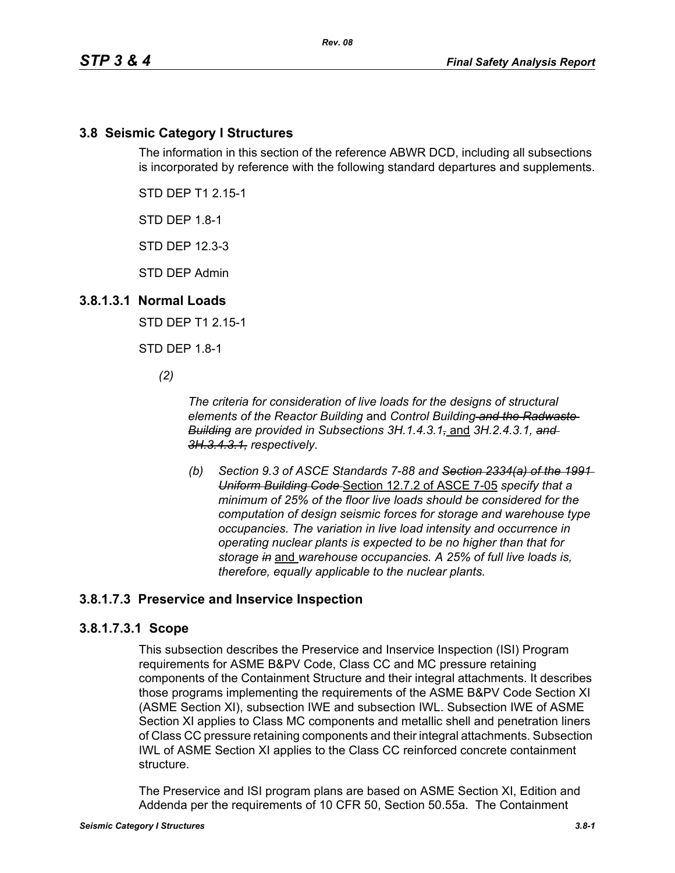## **3.8 Seismic Category I Structures**

The information in this section of the reference ABWR DCD, including all subsections is incorporated by reference with the following standard departures and supplements.

STD DEP T1 2.15-1

STD DEP 1.8-1

STD DEP 12.3-3

STD DEP Admin

#### **3.8.1.3.1 Normal Loads**

STD DEP T1 2.15-1

STD DEP 1.8-1

*(2)*

*The criteria for consideration of live loads for the designs of structural elements of the Reactor Building* and *Control Building and the Radwaste Building are provided in Subsections 3H.1.4.3.1,* and *3H.2.4.3.1, and 3H.3.4.3.1, respectively.*

*(b) Section 9.3 of ASCE Standards 7-88 and Section 2334(a) of the 1991 Uniform Building Code* Section 12.7.2 of ASCE 7-05 *specify that a minimum of 25% of the floor live loads should be considered for the computation of design seismic forces for storage and warehouse type occupancies. The variation in live load intensity and occurrence in operating nuclear plants is expected to be no higher than that for storage in* and *warehouse occupancies. A 25% of full live loads is, therefore, equally applicable to the nuclear plants.*

# **3.8.1.7.3 Preservice and Inservice Inspection**

## **3.8.1.7.3.1 Scope**

This subsection describes the Preservice and Inservice Inspection (ISI) Program requirements for ASME B&PV Code, Class CC and MC pressure retaining components of the Containment Structure and their integral attachments. It describes those programs implementing the requirements of the ASME B&PV Code Section XI (ASME Section XI), subsection IWE and subsection IWL. Subsection IWE of ASME Section XI applies to Class MC components and metallic shell and penetration liners of Class CC pressure retaining components and their integral attachments. Subsection IWL of ASME Section XI applies to the Class CC reinforced concrete containment structure.

The Preservice and ISI program plans are based on ASME Section XI, Edition and Addenda per the requirements of 10 CFR 50, Section 50.55a. The Containment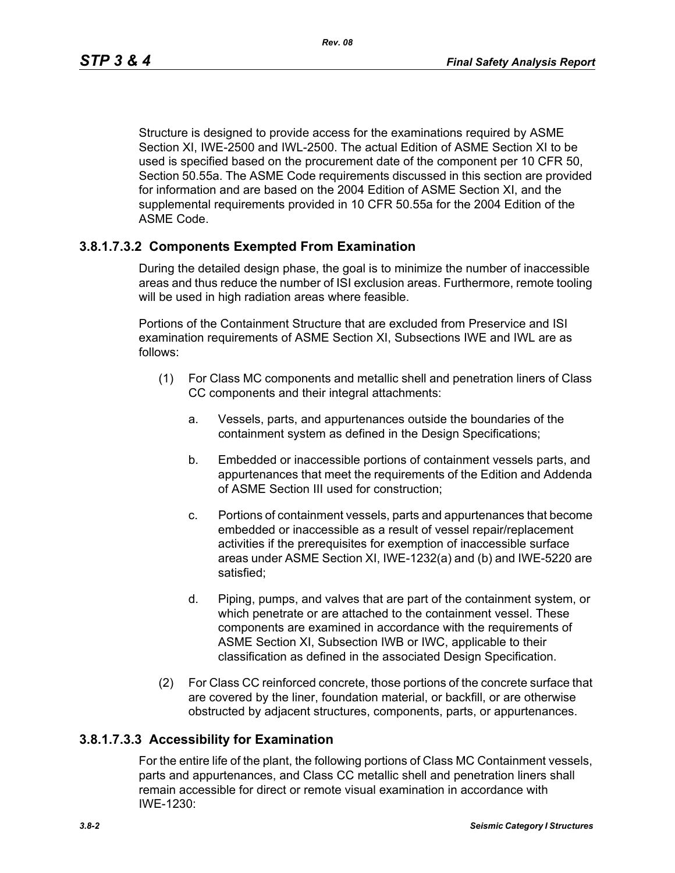Structure is designed to provide access for the examinations required by ASME Section XI, IWE-2500 and IWL-2500. The actual Edition of ASME Section XI to be used is specified based on the procurement date of the component per 10 CFR 50, Section 50.55a. The ASME Code requirements discussed in this section are provided for information and are based on the 2004 Edition of ASME Section XI, and the supplemental requirements provided in 10 CFR 50.55a for the 2004 Edition of the ASME Code.

## **3.8.1.7.3.2 Components Exempted From Examination**

During the detailed design phase, the goal is to minimize the number of inaccessible areas and thus reduce the number of ISI exclusion areas. Furthermore, remote tooling will be used in high radiation areas where feasible.

Portions of the Containment Structure that are excluded from Preservice and ISI examination requirements of ASME Section XI, Subsections IWE and IWL are as follows:

- (1) For Class MC components and metallic shell and penetration liners of Class CC components and their integral attachments:
	- a. Vessels, parts, and appurtenances outside the boundaries of the containment system as defined in the Design Specifications;
	- b. Embedded or inaccessible portions of containment vessels parts, and appurtenances that meet the requirements of the Edition and Addenda of ASME Section III used for construction;
	- c. Portions of containment vessels, parts and appurtenances that become embedded or inaccessible as a result of vessel repair/replacement activities if the prerequisites for exemption of inaccessible surface areas under ASME Section XI, IWE-1232(a) and (b) and IWE-5220 are satisfied;
	- d. Piping, pumps, and valves that are part of the containment system, or which penetrate or are attached to the containment vessel. These components are examined in accordance with the requirements of ASME Section XI, Subsection IWB or IWC, applicable to their classification as defined in the associated Design Specification.
- (2) For Class CC reinforced concrete, those portions of the concrete surface that are covered by the liner, foundation material, or backfill, or are otherwise obstructed by adjacent structures, components, parts, or appurtenances.

## **3.8.1.7.3.3 Accessibility for Examination**

For the entire life of the plant, the following portions of Class MC Containment vessels, parts and appurtenances, and Class CC metallic shell and penetration liners shall remain accessible for direct or remote visual examination in accordance with IWE-1230: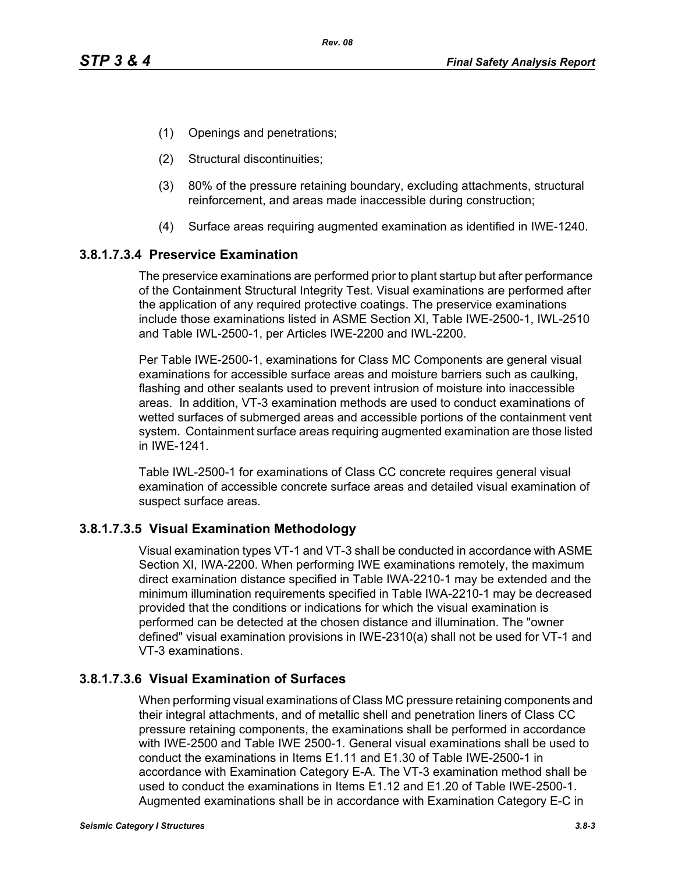- (1) Openings and penetrations;
- (2) Structural discontinuities;
- (3) 80% of the pressure retaining boundary, excluding attachments, structural reinforcement, and areas made inaccessible during construction;
- (4) Surface areas requiring augmented examination as identified in IWE-1240.

#### **3.8.1.7.3.4 Preservice Examination**

The preservice examinations are performed prior to plant startup but after performance of the Containment Structural Integrity Test. Visual examinations are performed after the application of any required protective coatings. The preservice examinations include those examinations listed in ASME Section XI, Table IWE-2500-1, IWL-2510 and Table IWL-2500-1, per Articles IWE-2200 and IWL-2200.

Per Table IWE-2500-1, examinations for Class MC Components are general visual examinations for accessible surface areas and moisture barriers such as caulking, flashing and other sealants used to prevent intrusion of moisture into inaccessible areas. In addition, VT-3 examination methods are used to conduct examinations of wetted surfaces of submerged areas and accessible portions of the containment vent system. Containment surface areas requiring augmented examination are those listed in IWE-1241.

Table IWL-2500-1 for examinations of Class CC concrete requires general visual examination of accessible concrete surface areas and detailed visual examination of suspect surface areas.

#### **3.8.1.7.3.5 Visual Examination Methodology**

Visual examination types VT-1 and VT-3 shall be conducted in accordance with ASME Section XI, IWA-2200. When performing IWE examinations remotely, the maximum direct examination distance specified in Table IWA-2210-1 may be extended and the minimum illumination requirements specified in Table IWA-2210-1 may be decreased provided that the conditions or indications for which the visual examination is performed can be detected at the chosen distance and illumination. The "owner defined" visual examination provisions in IWE-2310(a) shall not be used for VT-1 and VT-3 examinations.

## **3.8.1.7.3.6 Visual Examination of Surfaces**

When performing visual examinations of Class MC pressure retaining components and their integral attachments, and of metallic shell and penetration liners of Class CC pressure retaining components, the examinations shall be performed in accordance with IWE-2500 and Table IWE 2500-1. General visual examinations shall be used to conduct the examinations in Items E1.11 and E1.30 of Table IWE-2500-1 in accordance with Examination Category E-A. The VT-3 examination method shall be used to conduct the examinations in Items E1.12 and E1.20 of Table IWE-2500-1. Augmented examinations shall be in accordance with Examination Category E-C in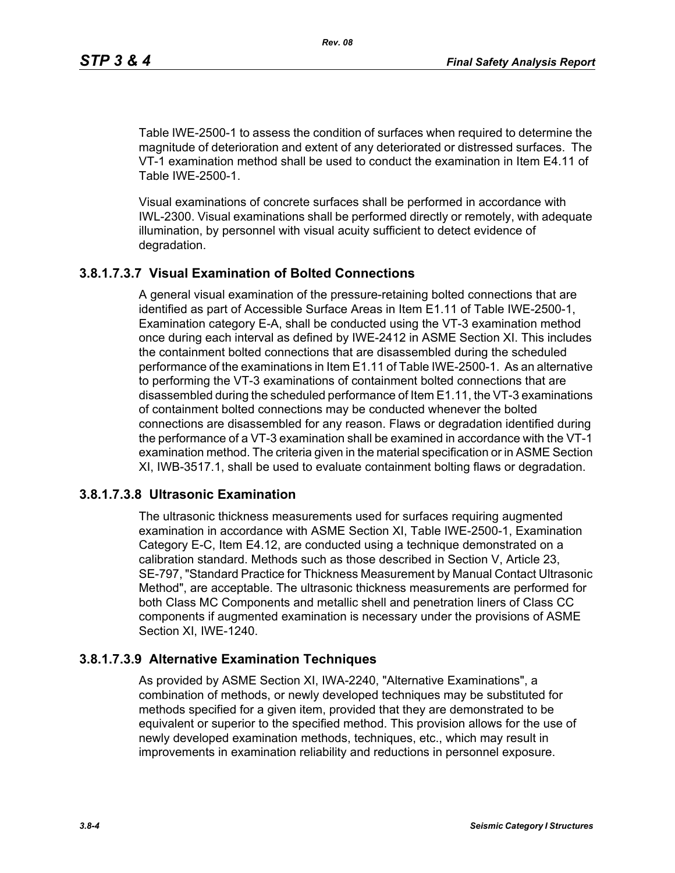*Rev. 08*

Table IWE-2500-1 to assess the condition of surfaces when required to determine the magnitude of deterioration and extent of any deteriorated or distressed surfaces. The VT-1 examination method shall be used to conduct the examination in Item E4.11 of Table IWE-2500-1.

Visual examinations of concrete surfaces shall be performed in accordance with IWL-2300. Visual examinations shall be performed directly or remotely, with adequate illumination, by personnel with visual acuity sufficient to detect evidence of degradation.

#### **3.8.1.7.3.7 Visual Examination of Bolted Connections**

A general visual examination of the pressure-retaining bolted connections that are identified as part of Accessible Surface Areas in Item E1.11 of Table IWE-2500-1, Examination category E-A, shall be conducted using the VT-3 examination method once during each interval as defined by IWE-2412 in ASME Section XI. This includes the containment bolted connections that are disassembled during the scheduled performance of the examinations in Item E1.11 of Table IWE-2500-1. As an alternative to performing the VT-3 examinations of containment bolted connections that are disassembled during the scheduled performance of Item E1.11, the VT-3 examinations of containment bolted connections may be conducted whenever the bolted connections are disassembled for any reason. Flaws or degradation identified during the performance of a VT-3 examination shall be examined in accordance with the VT-1 examination method. The criteria given in the material specification or in ASME Section XI, IWB-3517.1, shall be used to evaluate containment bolting flaws or degradation.

#### **3.8.1.7.3.8 Ultrasonic Examination**

The ultrasonic thickness measurements used for surfaces requiring augmented examination in accordance with ASME Section XI, Table IWE-2500-1, Examination Category E-C, Item E4.12, are conducted using a technique demonstrated on a calibration standard. Methods such as those described in Section V, Article 23, SE-797, "Standard Practice for Thickness Measurement by Manual Contact Ultrasonic Method", are acceptable. The ultrasonic thickness measurements are performed for both Class MC Components and metallic shell and penetration liners of Class CC components if augmented examination is necessary under the provisions of ASME Section XI, IWE-1240.

#### **3.8.1.7.3.9 Alternative Examination Techniques**

As provided by ASME Section XI, IWA-2240, "Alternative Examinations", a combination of methods, or newly developed techniques may be substituted for methods specified for a given item, provided that they are demonstrated to be equivalent or superior to the specified method. This provision allows for the use of newly developed examination methods, techniques, etc., which may result in improvements in examination reliability and reductions in personnel exposure.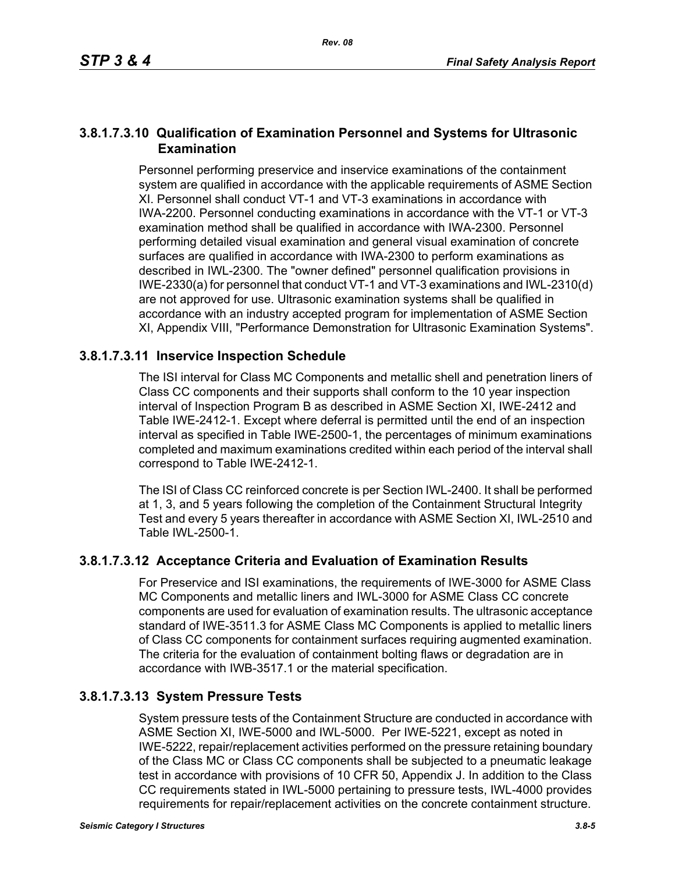#### **3.8.1.7.3.10 Qualification of Examination Personnel and Systems for Ultrasonic Examination**

Personnel performing preservice and inservice examinations of the containment system are qualified in accordance with the applicable requirements of ASME Section XI. Personnel shall conduct VT-1 and VT-3 examinations in accordance with IWA-2200. Personnel conducting examinations in accordance with the VT-1 or VT-3 examination method shall be qualified in accordance with IWA-2300. Personnel performing detailed visual examination and general visual examination of concrete surfaces are qualified in accordance with IWA-2300 to perform examinations as described in IWL-2300. The "owner defined" personnel qualification provisions in IWE-2330(a) for personnel that conduct VT-1 and VT-3 examinations and IWL-2310(d) are not approved for use. Ultrasonic examination systems shall be qualified in accordance with an industry accepted program for implementation of ASME Section XI, Appendix VIII, "Performance Demonstration for Ultrasonic Examination Systems".

## **3.8.1.7.3.11 Inservice Inspection Schedule**

The ISI interval for Class MC Components and metallic shell and penetration liners of Class CC components and their supports shall conform to the 10 year inspection interval of Inspection Program B as described in ASME Section XI, IWE-2412 and Table IWE-2412-1. Except where deferral is permitted until the end of an inspection interval as specified in Table IWE-2500-1, the percentages of minimum examinations completed and maximum examinations credited within each period of the interval shall correspond to Table IWE-2412-1.

The ISI of Class CC reinforced concrete is per Section IWL-2400. It shall be performed at 1, 3, and 5 years following the completion of the Containment Structural Integrity Test and every 5 years thereafter in accordance with ASME Section XI, IWL-2510 and Table IWL-2500-1.

## **3.8.1.7.3.12 Acceptance Criteria and Evaluation of Examination Results**

For Preservice and ISI examinations, the requirements of IWE-3000 for ASME Class MC Components and metallic liners and IWL-3000 for ASME Class CC concrete components are used for evaluation of examination results. The ultrasonic acceptance standard of IWE-3511.3 for ASME Class MC Components is applied to metallic liners of Class CC components for containment surfaces requiring augmented examination. The criteria for the evaluation of containment bolting flaws or degradation are in accordance with IWB-3517.1 or the material specification.

## **3.8.1.7.3.13 System Pressure Tests**

System pressure tests of the Containment Structure are conducted in accordance with ASME Section XI, IWE-5000 and IWL-5000. Per IWE-5221, except as noted in IWE-5222, repair/replacement activities performed on the pressure retaining boundary of the Class MC or Class CC components shall be subjected to a pneumatic leakage test in accordance with provisions of 10 CFR 50, Appendix J. In addition to the Class CC requirements stated in IWL-5000 pertaining to pressure tests, IWL-4000 provides requirements for repair/replacement activities on the concrete containment structure.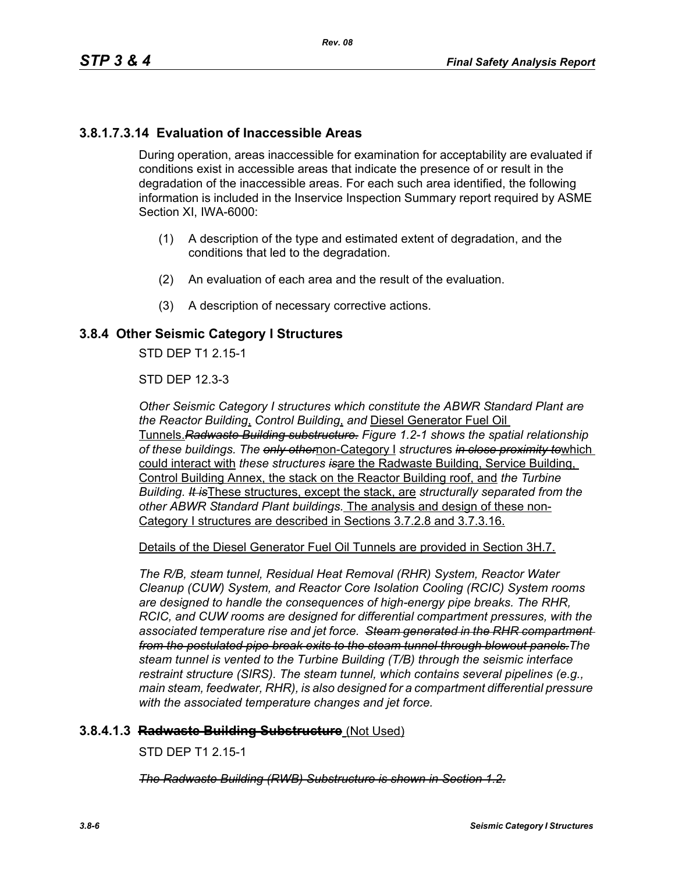## **3.8.1.7.3.14 Evaluation of Inaccessible Areas**

During operation, areas inaccessible for examination for acceptability are evaluated if conditions exist in accessible areas that indicate the presence of or result in the degradation of the inaccessible areas. For each such area identified, the following information is included in the Inservice Inspection Summary report required by ASME Section XI, IWA-6000:

- (1) A description of the type and estimated extent of degradation, and the conditions that led to the degradation.
- (2) An evaluation of each area and the result of the evaluation.
- (3) A description of necessary corrective actions.

#### **3.8.4 Other Seismic Category I Structures**

STD DEP T1 2 15-1

STD DEP 12.3-3

*Other Seismic Category I structures which constitute the ABWR Standard Plant are the Reactor Building*, *Control Building*, *and* Diesel Generator Fuel Oil Tunnels.*Radwaste Building substructure. Figure 1.2-1 shows the spatial relationship of these buildings. The only other*non-Category I *structure*s *in close proximity to*which could interact with *these structures is*are the Radwaste Building, Service Building, Control Building Annex, the stack on the Reactor Building roof, and *the Turbine Building. It is*These structures, except the stack, are *structurally separated from the other ABWR Standard Plant buildings.* The analysis and design of these non-Category I structures are described in Sections 3.7.2.8 and 3.7.3.16.

Details of the Diesel Generator Fuel Oil Tunnels are provided in Section 3H.7.

*The R/B, steam tunnel, Residual Heat Removal (RHR) System, Reactor Water Cleanup (CUW) System, and Reactor Core Isolation Cooling (RCIC) System rooms are designed to handle the consequences of high-energy pipe breaks. The RHR, RCIC, and CUW rooms are designed for differential compartment pressures, with the associated temperature rise and jet force. Steam generated in the RHR compartment from the postulated pipe break exits to the steam tunnel through blowout panels.The steam tunnel is vented to the Turbine Building (T/B) through the seismic interface restraint structure (SIRS). The steam tunnel, which contains several pipelines (e.g., main steam, feedwater, RHR), is also designed for a compartment differential pressure with the associated temperature changes and jet force.*

#### **3.8.4.1.3 Radwaste Building Substructure** (Not Used)

STD DEP T1 2.15-1

*The Radwaste Building (RWB) Substructure is shown in Section 1.2.*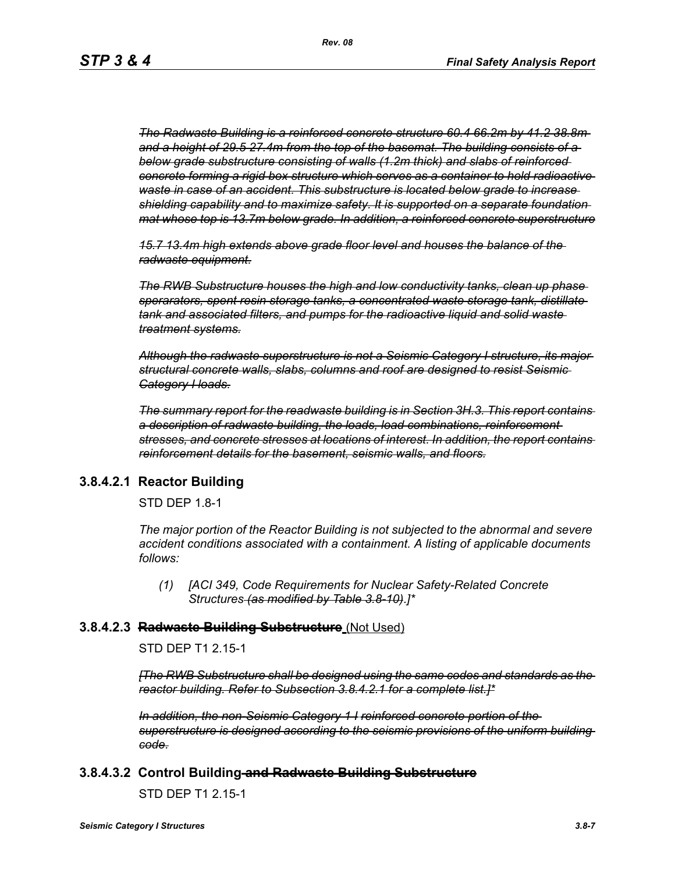*The Radwaste Building is a reinforced concrete structure 60.4 66.2m by 41.2 38.8m and a height of 29.5 27.4m from the top of the basemat. The building consists of a below grade substructure consisting of walls (1.2m thick) and slabs of reinforced concrete forming a rigid box structure which serves as a container to hold radioactive waste in case of an accident. This substructure is located below grade to increase shielding capability and to maximize safety. It is supported on a separate foundation mat whose top is 13.7m below grade. In addition, a reinforced concrete superstructure*

*15.7 13.4m high extends above grade floor level and houses the balance of the radwaste equipment.*

*The RWB Substructure houses the high and low conductivity tanks, clean up phase sperarators, spent resin storage tanks, a concentrated waste storage tank, distillate tank and associated filters, and pumps for the radioactive liquid and solid waste treatment systems.*

*Although the radwaste superstructure is not a Seismic Category I structure, its major structural concrete walls, slabs, columns and roof are designed to resist Seismic Category I loads.*

*The summary report for the readwaste building is in Section 3H.3. This report contains a description of radwaste building, the loads, load combinations, reinforcement stresses, and concrete stresses at locations of interest. In addition, the report contains reinforcement details for the basement, seismic walls, and floors.*

#### **3.8.4.2.1 Reactor Building**

STD DEP 1.8-1

*The major portion of the Reactor Building is not subjected to the abnormal and severe accident conditions associated with a containment. A listing of applicable documents follows:*

*(1) [ACI 349, Code Requirements for Nuclear Safety-Related Concrete Structures (as modified by Table 3.8-10)*.*]\**

#### **3.8.4.2.3 Radwaste Building Substructure** (Not Used)

STD DEP T1 2.15-1

*[The RWB Substructure shall be designed using the same codes and standards as the reactor building. Refer to Subsection 3.8.4.2.1 for a complete list.]\**

*In addition, the non-Seismic Category 1 I reinforced concrete portion of the superstructure is designed according to the seismic provisions of the uniform building code.*

#### **3.8.4.3.2 Control Building and Radwaste Building Substructure**

STD DEP T1 2.15-1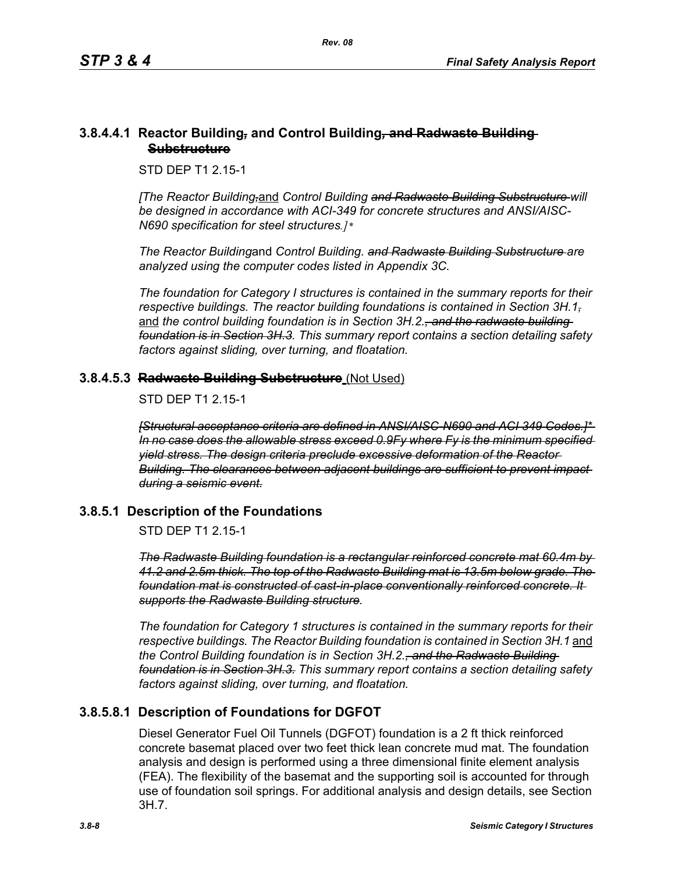#### **3.8.4.4.1 Reactor Building***,* **and Control Building***,* **and Radwaste Building Substructure**

STD DEP T1 2.15-1

*[The Reactor Building,*and *Control Building and Radwaste Building Substructure will be designed in accordance with ACI-349 for concrete structures and ANSI/AISC-N690 specification for steel structures.]\** 

*The Reactor Building*and *Control Building. and Radwaste Building Substructure are analyzed using the computer codes listed in Appendix 3C.* 

*The foundation for Category I structures is contained in the summary reports for their respective buildings. The reactor building foundations is contained in Section 3H.1,* and the control building foundation is in Section 3H.2.<del>, and the radwaste building</del> *foundation is in Section 3H.3. This summary report contains a section detailing safety factors against sliding, over turning, and floatation.*

## **3.8.4.5.3 Radwaste Building Substructure** (Not Used)

STD DFP T1 2 15-1

*[Structural acceptance criteria are defined in ANSI/AISC-N690 and ACI 349 Codes.]\* In no case does the allowable stress exceed 0.9Fy where Fy is the minimum specified yield stress. The design criteria preclude excessive deformation of the Reactor Building. The clearances between adjacent buildings are sufficient to prevent impact during a seismic event.*

## **3.8.5.1 Description of the Foundations**

STD DEP T1 2.15-1

*The Radwaste Building foundation is a rectangular reinforced concrete mat 60.4m by 41.2 and 2.5m thick. The top of the Radwaste Building mat is 13.5m below grade. The foundation mat is constructed of cast-in-place conventionally reinforced concrete. It supports the Radwaste Building structure.*

*The foundation for Category 1 structures is contained in the summary reports for their respective buildings. The Reactor Building foundation is contained in Section 3H.1* and *the Control Building foundation is in Section 3H.2., and the Radwaste Building foundation is in Section 3H.3. This summary report contains a section detailing safety factors against sliding, over turning, and floatation.*

# **3.8.5.8.1 Description of Foundations for DGFOT**

Diesel Generator Fuel Oil Tunnels (DGFOT) foundation is a 2 ft thick reinforced concrete basemat placed over two feet thick lean concrete mud mat. The foundation analysis and design is performed using a three dimensional finite element analysis (FEA). The flexibility of the basemat and the supporting soil is accounted for through use of foundation soil springs. For additional analysis and design details, see Section 3H.7.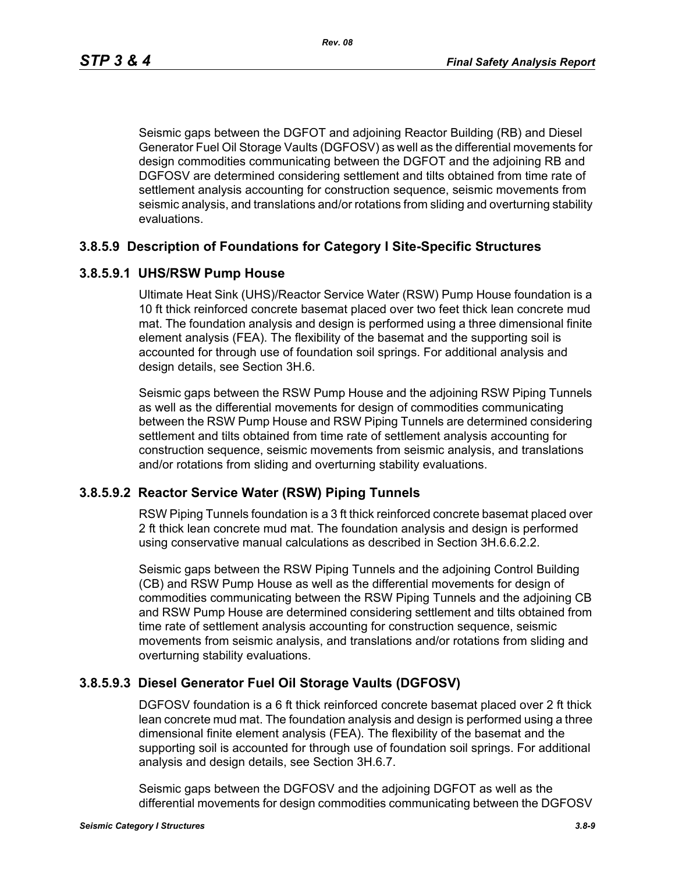Seismic gaps between the DGFOT and adjoining Reactor Building (RB) and Diesel Generator Fuel Oil Storage Vaults (DGFOSV) as well as the differential movements for design commodities communicating between the DGFOT and the adjoining RB and DGFOSV are determined considering settlement and tilts obtained from time rate of settlement analysis accounting for construction sequence, seismic movements from seismic analysis, and translations and/or rotations from sliding and overturning stability evaluations.

#### **3.8.5.9 Description of Foundations for Category I Site-Specific Structures**

#### **3.8.5.9.1 UHS/RSW Pump House**

Ultimate Heat Sink (UHS)/Reactor Service Water (RSW) Pump House foundation is a 10 ft thick reinforced concrete basemat placed over two feet thick lean concrete mud mat. The foundation analysis and design is performed using a three dimensional finite element analysis (FEA). The flexibility of the basemat and the supporting soil is accounted for through use of foundation soil springs. For additional analysis and design details, see Section 3H.6.

Seismic gaps between the RSW Pump House and the adjoining RSW Piping Tunnels as well as the differential movements for design of commodities communicating between the RSW Pump House and RSW Piping Tunnels are determined considering settlement and tilts obtained from time rate of settlement analysis accounting for construction sequence, seismic movements from seismic analysis, and translations and/or rotations from sliding and overturning stability evaluations.

#### **3.8.5.9.2 Reactor Service Water (RSW) Piping Tunnels**

RSW Piping Tunnels foundation is a 3 ft thick reinforced concrete basemat placed over 2 ft thick lean concrete mud mat. The foundation analysis and design is performed using conservative manual calculations as described in Section 3H.6.6.2.2.

Seismic gaps between the RSW Piping Tunnels and the adjoining Control Building (CB) and RSW Pump House as well as the differential movements for design of commodities communicating between the RSW Piping Tunnels and the adjoining CB and RSW Pump House are determined considering settlement and tilts obtained from time rate of settlement analysis accounting for construction sequence, seismic movements from seismic analysis, and translations and/or rotations from sliding and overturning stability evaluations.

#### **3.8.5.9.3 Diesel Generator Fuel Oil Storage Vaults (DGFOSV)**

DGFOSV foundation is a 6 ft thick reinforced concrete basemat placed over 2 ft thick lean concrete mud mat. The foundation analysis and design is performed using a three dimensional finite element analysis (FEA). The flexibility of the basemat and the supporting soil is accounted for through use of foundation soil springs. For additional analysis and design details, see Section 3H.6.7.

Seismic gaps between the DGFOSV and the adjoining DGFOT as well as the differential movements for design commodities communicating between the DGFOSV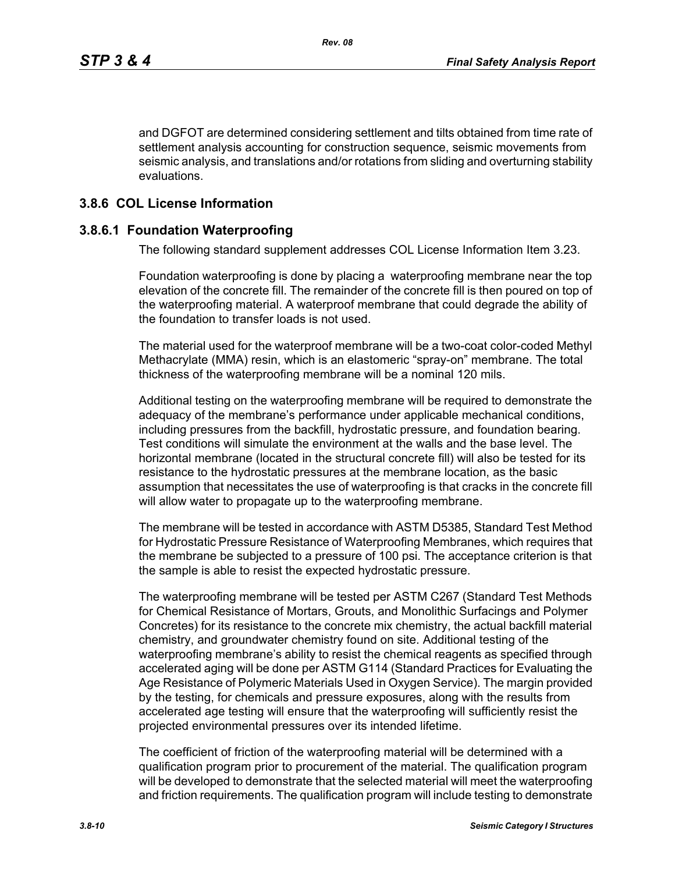and DGFOT are determined considering settlement and tilts obtained from time rate of settlement analysis accounting for construction sequence, seismic movements from seismic analysis, and translations and/or rotations from sliding and overturning stability evaluations.

#### **3.8.6 COL License Information**

#### **3.8.6.1 Foundation Waterproofing**

The following standard supplement addresses COL License Information Item 3.23.

Foundation waterproofing is done by placing a waterproofing membrane near the top elevation of the concrete fill. The remainder of the concrete fill is then poured on top of the waterproofing material. A waterproof membrane that could degrade the ability of the foundation to transfer loads is not used.

The material used for the waterproof membrane will be a two-coat color-coded Methyl Methacrylate (MMA) resin, which is an elastomeric "spray-on" membrane. The total thickness of the waterproofing membrane will be a nominal 120 mils.

Additional testing on the waterproofing membrane will be required to demonstrate the adequacy of the membrane's performance under applicable mechanical conditions, including pressures from the backfill, hydrostatic pressure, and foundation bearing. Test conditions will simulate the environment at the walls and the base level. The horizontal membrane (located in the structural concrete fill) will also be tested for its resistance to the hydrostatic pressures at the membrane location, as the basic assumption that necessitates the use of waterproofing is that cracks in the concrete fill will allow water to propagate up to the waterproofing membrane.

The membrane will be tested in accordance with ASTM D5385, Standard Test Method for Hydrostatic Pressure Resistance of Waterproofing Membranes, which requires that the membrane be subjected to a pressure of 100 psi. The acceptance criterion is that the sample is able to resist the expected hydrostatic pressure.

The waterproofing membrane will be tested per ASTM C267 (Standard Test Methods for Chemical Resistance of Mortars, Grouts, and Monolithic Surfacings and Polymer Concretes) for its resistance to the concrete mix chemistry, the actual backfill material chemistry, and groundwater chemistry found on site. Additional testing of the waterproofing membrane's ability to resist the chemical reagents as specified through accelerated aging will be done per ASTM G114 (Standard Practices for Evaluating the Age Resistance of Polymeric Materials Used in Oxygen Service). The margin provided by the testing, for chemicals and pressure exposures, along with the results from accelerated age testing will ensure that the waterproofing will sufficiently resist the projected environmental pressures over its intended lifetime.

The coefficient of friction of the waterproofing material will be determined with a qualification program prior to procurement of the material. The qualification program will be developed to demonstrate that the selected material will meet the waterproofing and friction requirements. The qualification program will include testing to demonstrate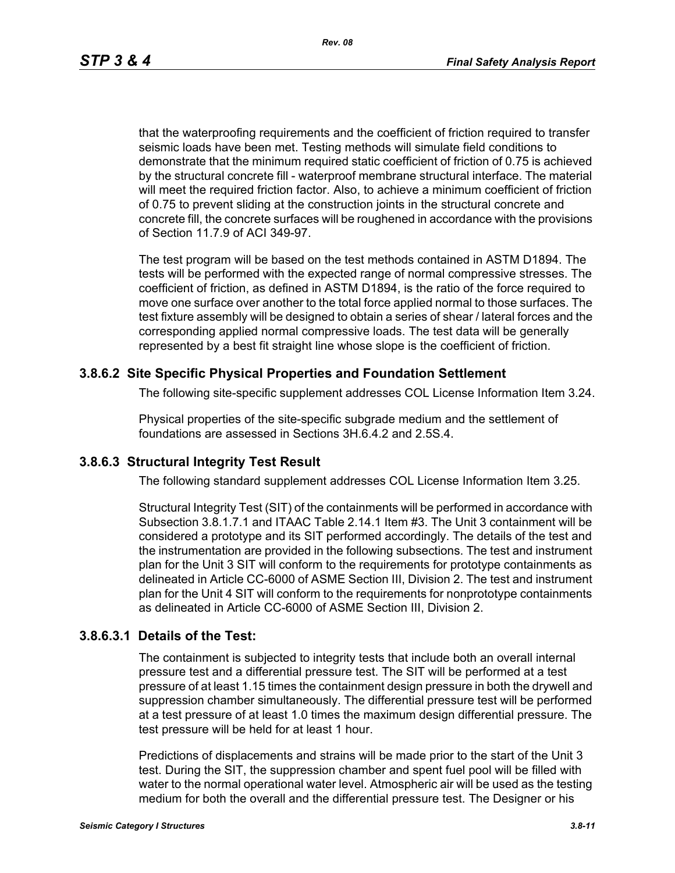*Rev. 08*

that the waterproofing requirements and the coefficient of friction required to transfer seismic loads have been met. Testing methods will simulate field conditions to demonstrate that the minimum required static coefficient of friction of 0.75 is achieved by the structural concrete fill - waterproof membrane structural interface. The material will meet the required friction factor. Also, to achieve a minimum coefficient of friction of 0.75 to prevent sliding at the construction joints in the structural concrete and concrete fill, the concrete surfaces will be roughened in accordance with the provisions of Section 11.7.9 of ACI 349-97.

The test program will be based on the test methods contained in ASTM D1894. The tests will be performed with the expected range of normal compressive stresses. The coefficient of friction, as defined in ASTM D1894, is the ratio of the force required to move one surface over another to the total force applied normal to those surfaces. The test fixture assembly will be designed to obtain a series of shear / lateral forces and the corresponding applied normal compressive loads. The test data will be generally represented by a best fit straight line whose slope is the coefficient of friction.

## **3.8.6.2 Site Specific Physical Properties and Foundation Settlement**

The following site-specific supplement addresses COL License Information Item 3.24.

Physical properties of the site-specific subgrade medium and the settlement of foundations are assessed in Sections 3H.6.4.2 and 2.5S.4.

## **3.8.6.3 Structural Integrity Test Result**

The following standard supplement addresses COL License Information Item 3.25.

Structural Integrity Test (SIT) of the containments will be performed in accordance with Subsection 3.8.1.7.1 and ITAAC Table 2.14.1 Item #3. The Unit 3 containment will be considered a prototype and its SIT performed accordingly. The details of the test and the instrumentation are provided in the following subsections. The test and instrument plan for the Unit 3 SIT will conform to the requirements for prototype containments as delineated in Article CC-6000 of ASME Section III, Division 2. The test and instrument plan for the Unit 4 SIT will conform to the requirements for nonprototype containments as delineated in Article CC-6000 of ASME Section III, Division 2.

## **3.8.6.3.1 Details of the Test:**

The containment is subjected to integrity tests that include both an overall internal pressure test and a differential pressure test. The SIT will be performed at a test pressure of at least 1.15 times the containment design pressure in both the drywell and suppression chamber simultaneously. The differential pressure test will be performed at a test pressure of at least 1.0 times the maximum design differential pressure. The test pressure will be held for at least 1 hour.

Predictions of displacements and strains will be made prior to the start of the Unit 3 test. During the SIT, the suppression chamber and spent fuel pool will be filled with water to the normal operational water level. Atmospheric air will be used as the testing medium for both the overall and the differential pressure test. The Designer or his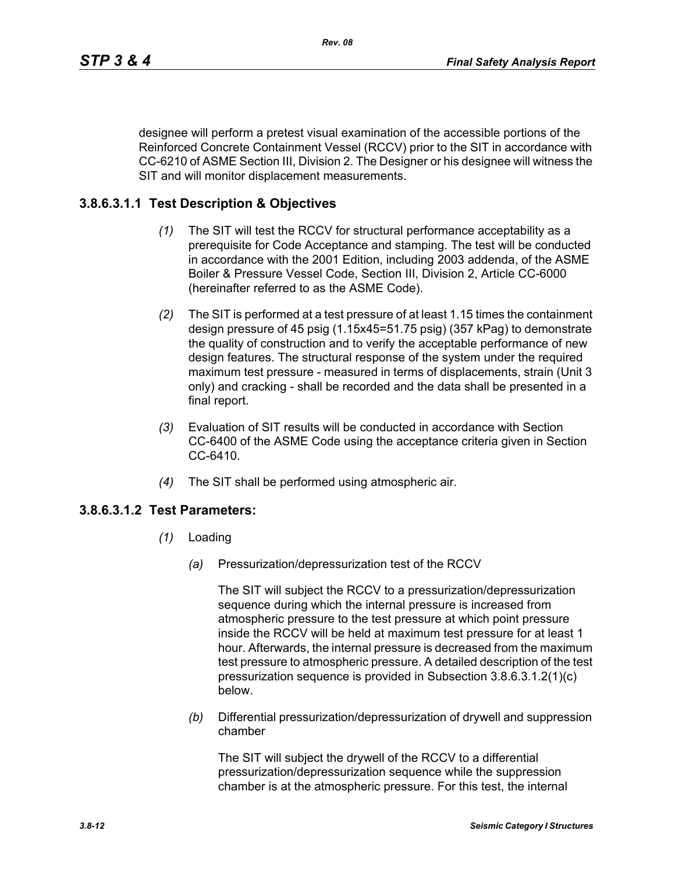designee will perform a pretest visual examination of the accessible portions of the Reinforced Concrete Containment Vessel (RCCV) prior to the SIT in accordance with CC-6210 of ASME Section III, Division 2. The Designer or his designee will witness the SIT and will monitor displacement measurements.

## **3.8.6.3.1.1 Test Description & Objectives**

- *(1)* The SIT will test the RCCV for structural performance acceptability as a prerequisite for Code Acceptance and stamping. The test will be conducted in accordance with the 2001 Edition, including 2003 addenda, of the ASME Boiler & Pressure Vessel Code, Section III, Division 2, Article CC-6000 (hereinafter referred to as the ASME Code).
- *(2)* The SIT is performed at a test pressure of at least 1.15 times the containment design pressure of 45 psig (1.15x45=51.75 psig) (357 kPag) to demonstrate the quality of construction and to verify the acceptable performance of new design features. The structural response of the system under the required maximum test pressure - measured in terms of displacements, strain (Unit 3 only) and cracking - shall be recorded and the data shall be presented in a final report.
- *(3)* Evaluation of SIT results will be conducted in accordance with Section CC-6400 of the ASME Code using the acceptance criteria given in Section CC-6410.
- *(4)* The SIT shall be performed using atmospheric air.

## **3.8.6.3.1.2 Test Parameters:**

- *(1)* Loading
	- *(a)* Pressurization/depressurization test of the RCCV

The SIT will subject the RCCV to a pressurization/depressurization sequence during which the internal pressure is increased from atmospheric pressure to the test pressure at which point pressure inside the RCCV will be held at maximum test pressure for at least 1 hour. Afterwards, the internal pressure is decreased from the maximum test pressure to atmospheric pressure. A detailed description of the test pressurization sequence is provided in Subsection 3.8.6.3.1.2(1)(c) below.

*(b)* Differential pressurization/depressurization of drywell and suppression chamber

The SIT will subject the drywell of the RCCV to a differential pressurization/depressurization sequence while the suppression chamber is at the atmospheric pressure. For this test, the internal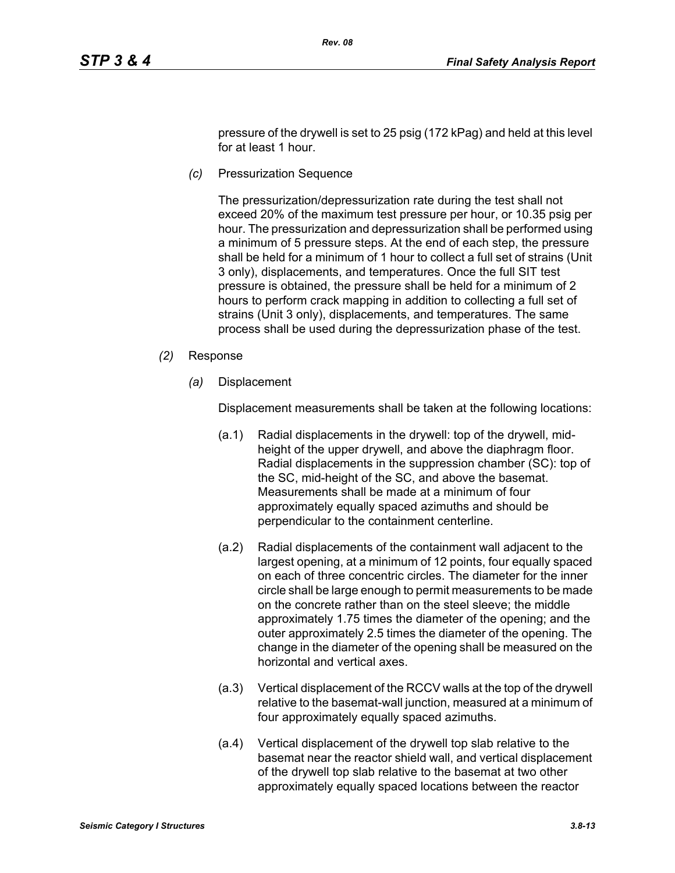pressure of the drywell is set to 25 psig (172 kPag) and held at this level for at least 1 hour.

*(c)* Pressurization Sequence

The pressurization/depressurization rate during the test shall not exceed 20% of the maximum test pressure per hour, or 10.35 psig per hour. The pressurization and depressurization shall be performed using a minimum of 5 pressure steps. At the end of each step, the pressure shall be held for a minimum of 1 hour to collect a full set of strains (Unit 3 only), displacements, and temperatures. Once the full SIT test pressure is obtained, the pressure shall be held for a minimum of 2 hours to perform crack mapping in addition to collecting a full set of strains (Unit 3 only), displacements, and temperatures. The same process shall be used during the depressurization phase of the test.

- *(2)* Response
	- *(a)* Displacement

Displacement measurements shall be taken at the following locations:

- (a.1) Radial displacements in the drywell: top of the drywell, midheight of the upper drywell, and above the diaphragm floor. Radial displacements in the suppression chamber (SC): top of the SC, mid-height of the SC, and above the basemat. Measurements shall be made at a minimum of four approximately equally spaced azimuths and should be perpendicular to the containment centerline.
- (a.2) Radial displacements of the containment wall adjacent to the largest opening, at a minimum of 12 points, four equally spaced on each of three concentric circles. The diameter for the inner circle shall be large enough to permit measurements to be made on the concrete rather than on the steel sleeve; the middle approximately 1.75 times the diameter of the opening; and the outer approximately 2.5 times the diameter of the opening. The change in the diameter of the opening shall be measured on the horizontal and vertical axes.
- (a.3) Vertical displacement of the RCCV walls at the top of the drywell relative to the basemat-wall junction, measured at a minimum of four approximately equally spaced azimuths.
- (a.4) Vertical displacement of the drywell top slab relative to the basemat near the reactor shield wall, and vertical displacement of the drywell top slab relative to the basemat at two other approximately equally spaced locations between the reactor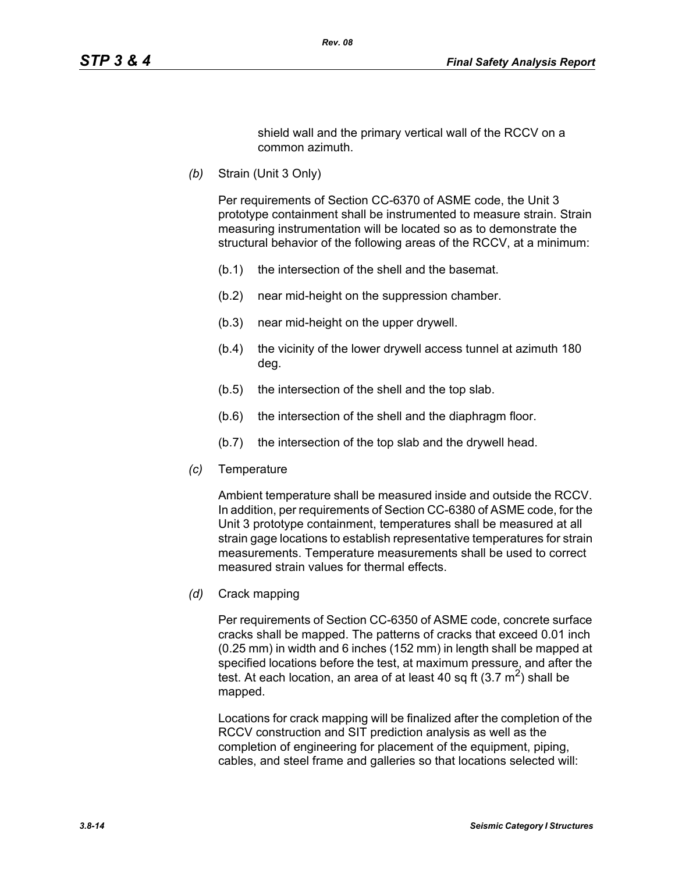shield wall and the primary vertical wall of the RCCV on a common azimuth.

*(b)* Strain (Unit 3 Only)

Per requirements of Section CC-6370 of ASME code, the Unit 3 prototype containment shall be instrumented to measure strain. Strain measuring instrumentation will be located so as to demonstrate the structural behavior of the following areas of the RCCV, at a minimum:

- (b.1) the intersection of the shell and the basemat.
- (b.2) near mid-height on the suppression chamber.
- (b.3) near mid-height on the upper drywell.
- (b.4) the vicinity of the lower drywell access tunnel at azimuth 180 deg.
- (b.5) the intersection of the shell and the top slab.
- (b.6) the intersection of the shell and the diaphragm floor.
- (b.7) the intersection of the top slab and the drywell head.
- *(c)* Temperature

Ambient temperature shall be measured inside and outside the RCCV. In addition, per requirements of Section CC-6380 of ASME code, for the Unit 3 prototype containment, temperatures shall be measured at all strain gage locations to establish representative temperatures for strain measurements. Temperature measurements shall be used to correct measured strain values for thermal effects.

*(d)* Crack mapping

Per requirements of Section CC-6350 of ASME code, concrete surface cracks shall be mapped. The patterns of cracks that exceed 0.01 inch (0.25 mm) in width and 6 inches (152 mm) in length shall be mapped at specified locations before the test, at maximum pressure, and after the test. At each location, an area of at least 40 sq ft  $(3.7 \text{ m}^2)$  shall be mapped.

Locations for crack mapping will be finalized after the completion of the RCCV construction and SIT prediction analysis as well as the completion of engineering for placement of the equipment, piping, cables, and steel frame and galleries so that locations selected will: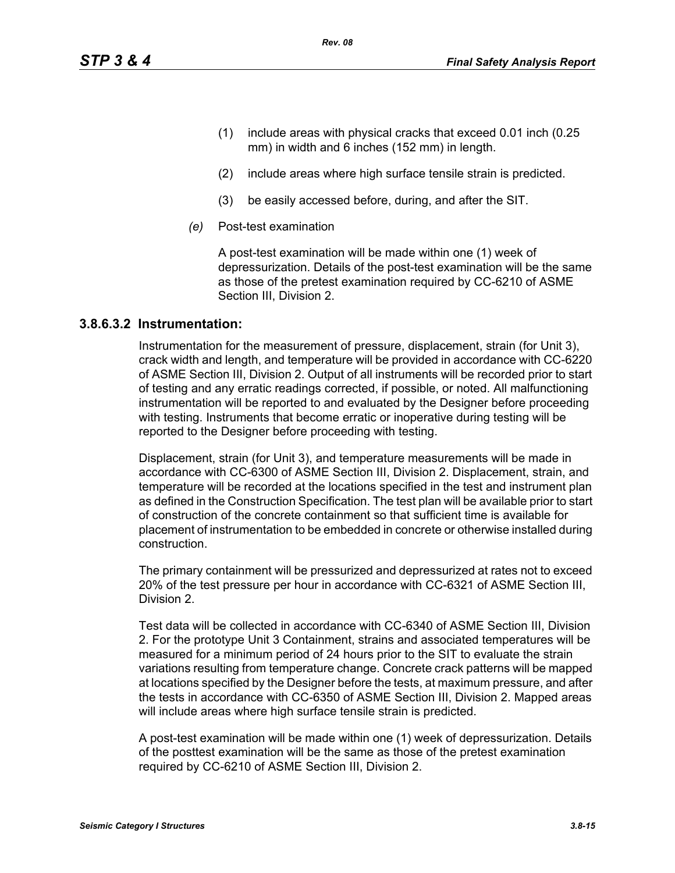- (1) include areas with physical cracks that exceed 0.01 inch (0.25 mm) in width and 6 inches (152 mm) in length.
- (2) include areas where high surface tensile strain is predicted.
- (3) be easily accessed before, during, and after the SIT.
- *(e)* Post-test examination

A post-test examination will be made within one (1) week of depressurization. Details of the post-test examination will be the same as those of the pretest examination required by CC-6210 of ASME Section III, Division 2.

#### **3.8.6.3.2 Instrumentation:**

Instrumentation for the measurement of pressure, displacement, strain (for Unit 3), crack width and length, and temperature will be provided in accordance with CC-6220 of ASME Section III, Division 2. Output of all instruments will be recorded prior to start of testing and any erratic readings corrected, if possible, or noted. All malfunctioning instrumentation will be reported to and evaluated by the Designer before proceeding with testing. Instruments that become erratic or inoperative during testing will be reported to the Designer before proceeding with testing.

Displacement, strain (for Unit 3), and temperature measurements will be made in accordance with CC-6300 of ASME Section III, Division 2. Displacement, strain, and temperature will be recorded at the locations specified in the test and instrument plan as defined in the Construction Specification. The test plan will be available prior to start of construction of the concrete containment so that sufficient time is available for placement of instrumentation to be embedded in concrete or otherwise installed during construction.

The primary containment will be pressurized and depressurized at rates not to exceed 20% of the test pressure per hour in accordance with CC-6321 of ASME Section III, Division 2.

Test data will be collected in accordance with CC-6340 of ASME Section III, Division 2. For the prototype Unit 3 Containment, strains and associated temperatures will be measured for a minimum period of 24 hours prior to the SIT to evaluate the strain variations resulting from temperature change. Concrete crack patterns will be mapped at locations specified by the Designer before the tests, at maximum pressure, and after the tests in accordance with CC-6350 of ASME Section III, Division 2. Mapped areas will include areas where high surface tensile strain is predicted.

A post-test examination will be made within one (1) week of depressurization. Details of the posttest examination will be the same as those of the pretest examination required by CC-6210 of ASME Section III, Division 2.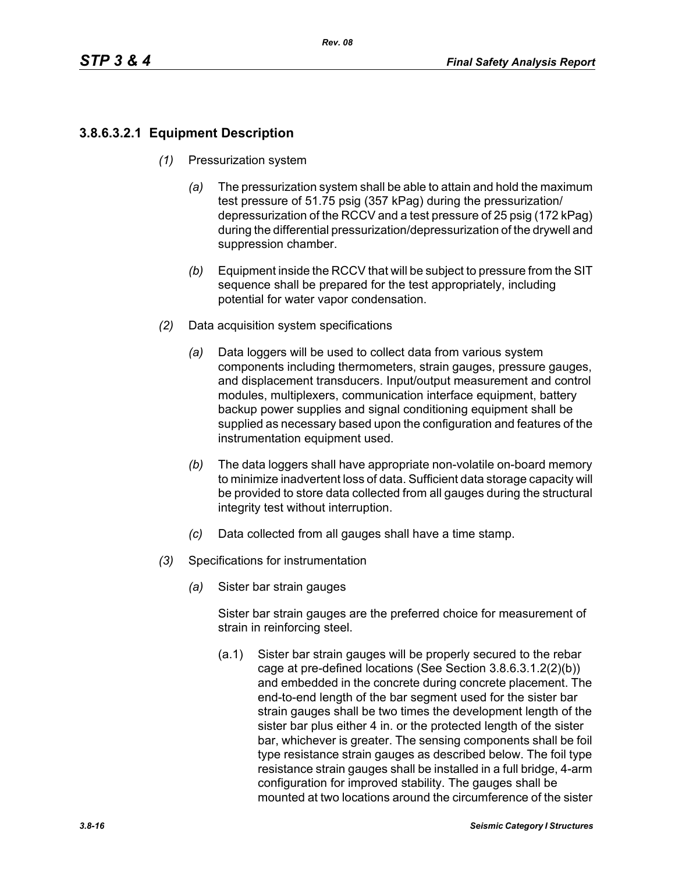# **3.8.6.3.2.1 Equipment Description**

- *(1)* Pressurization system
	- *(a)* The pressurization system shall be able to attain and hold the maximum test pressure of 51.75 psig (357 kPag) during the pressurization/ depressurization of the RCCV and a test pressure of 25 psig (172 kPag) during the differential pressurization/depressurization of the drywell and suppression chamber.
	- *(b)* Equipment inside the RCCV that will be subject to pressure from the SIT sequence shall be prepared for the test appropriately, including potential for water vapor condensation.
- *(2)* Data acquisition system specifications
	- *(a)* Data loggers will be used to collect data from various system components including thermometers, strain gauges, pressure gauges, and displacement transducers. Input/output measurement and control modules, multiplexers, communication interface equipment, battery backup power supplies and signal conditioning equipment shall be supplied as necessary based upon the configuration and features of the instrumentation equipment used.
	- *(b)* The data loggers shall have appropriate non-volatile on-board memory to minimize inadvertent loss of data. Sufficient data storage capacity will be provided to store data collected from all gauges during the structural integrity test without interruption.
	- *(c)* Data collected from all gauges shall have a time stamp.
- *(3)* Specifications for instrumentation
	- *(a)* Sister bar strain gauges

Sister bar strain gauges are the preferred choice for measurement of strain in reinforcing steel.

(a.1) Sister bar strain gauges will be properly secured to the rebar cage at pre-defined locations (See Section 3.8.6.3.1.2(2)(b)) and embedded in the concrete during concrete placement. The end-to-end length of the bar segment used for the sister bar strain gauges shall be two times the development length of the sister bar plus either 4 in. or the protected length of the sister bar, whichever is greater. The sensing components shall be foil type resistance strain gauges as described below. The foil type resistance strain gauges shall be installed in a full bridge, 4-arm configuration for improved stability. The gauges shall be mounted at two locations around the circumference of the sister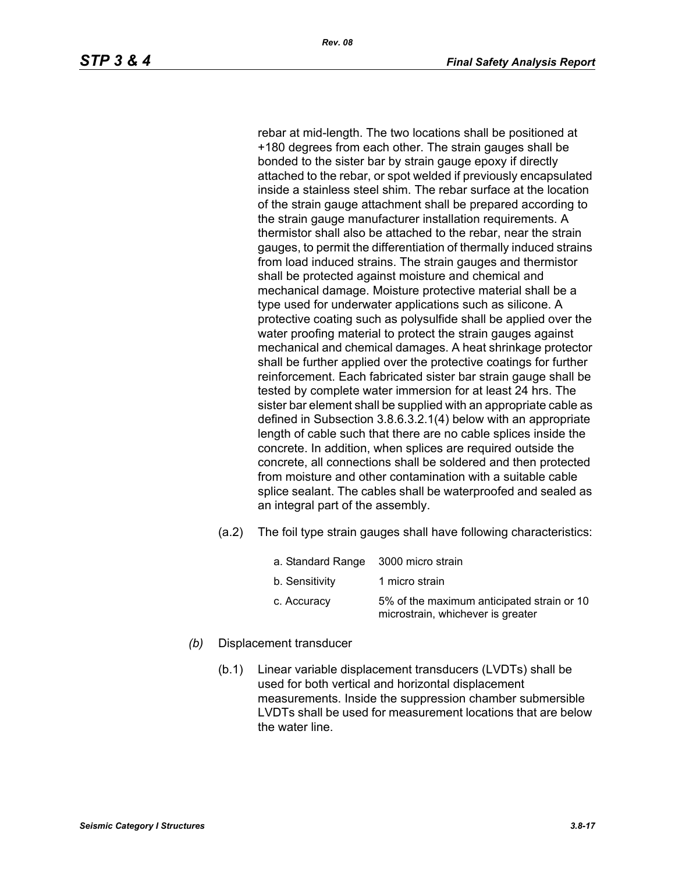rebar at mid-length. The two locations shall be positioned at +180 degrees from each other. The strain gauges shall be bonded to the sister bar by strain gauge epoxy if directly attached to the rebar, or spot welded if previously encapsulated inside a stainless steel shim. The rebar surface at the location of the strain gauge attachment shall be prepared according to the strain gauge manufacturer installation requirements. A thermistor shall also be attached to the rebar, near the strain gauges, to permit the differentiation of thermally induced strains from load induced strains. The strain gauges and thermistor shall be protected against moisture and chemical and mechanical damage. Moisture protective material shall be a type used for underwater applications such as silicone. A protective coating such as polysulfide shall be applied over the water proofing material to protect the strain gauges against mechanical and chemical damages. A heat shrinkage protector shall be further applied over the protective coatings for further reinforcement. Each fabricated sister bar strain gauge shall be tested by complete water immersion for at least 24 hrs. The sister bar element shall be supplied with an appropriate cable as defined in Subsection 3.8.6.3.2.1(4) below with an appropriate length of cable such that there are no cable splices inside the concrete. In addition, when splices are required outside the concrete, all connections shall be soldered and then protected from moisture and other contamination with a suitable cable splice sealant. The cables shall be waterproofed and sealed as an integral part of the assembly.

(a.2) The foil type strain gauges shall have following characteristics:

| a. Standard Range 3000 micro strain |                                                                                 |
|-------------------------------------|---------------------------------------------------------------------------------|
| b. Sensitivity                      | 1 micro strain                                                                  |
| c. Accuracy                         | 5% of the maximum anticipated strain or 10<br>microstrain, whichever is greater |

- *(b)* Displacement transducer
	- (b.1) Linear variable displacement transducers (LVDTs) shall be used for both vertical and horizontal displacement measurements. Inside the suppression chamber submersible LVDTs shall be used for measurement locations that are below the water line.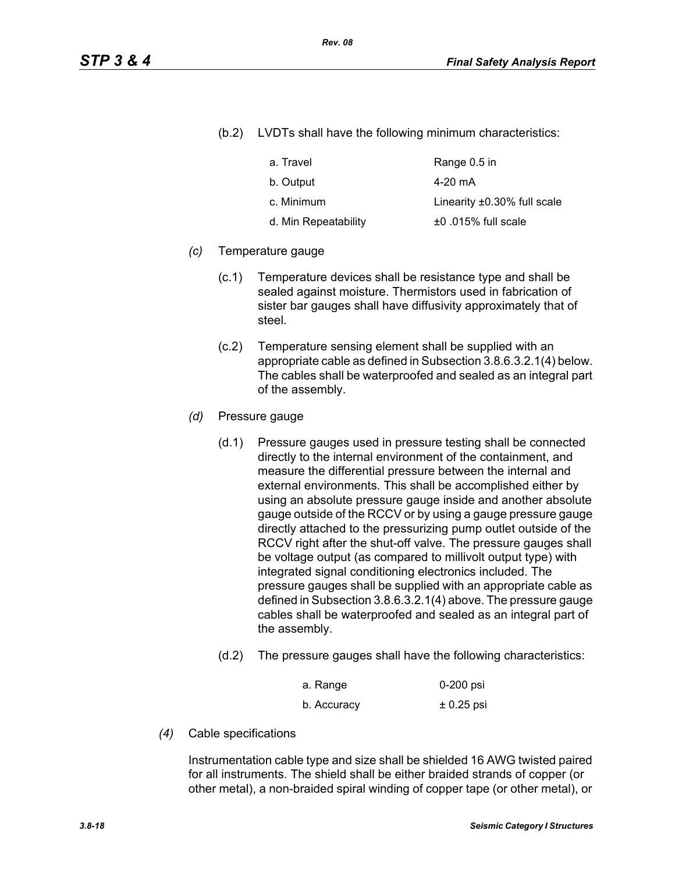(b.2) LVDTs shall have the following minimum characteristics:

| a. Travel            | Range 0.5 in                      |
|----------------------|-----------------------------------|
| b. Output            | 4-20 mA                           |
| c. Minimum           | Linearity $\pm 0.30\%$ full scale |
| d. Min Repeatability | $±0.015\%$ full scale             |

#### *(c)* Temperature gauge

- (c.1) Temperature devices shall be resistance type and shall be sealed against moisture. Thermistors used in fabrication of sister bar gauges shall have diffusivity approximately that of steel.
- (c.2) Temperature sensing element shall be supplied with an appropriate cable as defined in Subsection 3.8.6.3.2.1(4) below. The cables shall be waterproofed and sealed as an integral part of the assembly.
- *(d)* Pressure gauge
	- (d.1) Pressure gauges used in pressure testing shall be connected directly to the internal environment of the containment, and measure the differential pressure between the internal and external environments. This shall be accomplished either by using an absolute pressure gauge inside and another absolute gauge outside of the RCCV or by using a gauge pressure gauge directly attached to the pressurizing pump outlet outside of the RCCV right after the shut-off valve. The pressure gauges shall be voltage output (as compared to millivolt output type) with integrated signal conditioning electronics included. The pressure gauges shall be supplied with an appropriate cable as defined in Subsection 3.8.6.3.2.1(4) above. The pressure gauge cables shall be waterproofed and sealed as an integral part of the assembly.
	- (d.2) The pressure gauges shall have the following characteristics:

| a. Range    | 0-200 psi    |
|-------------|--------------|
| b. Accuracy | $± 0.25$ psi |

*(4)* Cable specifications

Instrumentation cable type and size shall be shielded 16 AWG twisted paired for all instruments. The shield shall be either braided strands of copper (or other metal), a non-braided spiral winding of copper tape (or other metal), or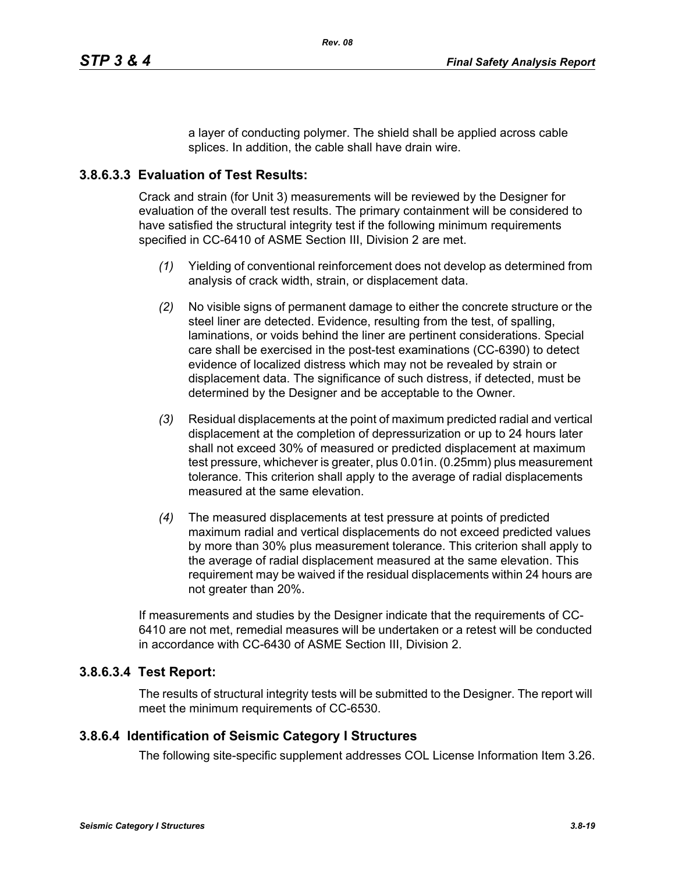a layer of conducting polymer. The shield shall be applied across cable splices. In addition, the cable shall have drain wire.

## **3.8.6.3.3 Evaluation of Test Results:**

Crack and strain (for Unit 3) measurements will be reviewed by the Designer for evaluation of the overall test results. The primary containment will be considered to have satisfied the structural integrity test if the following minimum requirements specified in CC-6410 of ASME Section III, Division 2 are met.

- *(1)* Yielding of conventional reinforcement does not develop as determined from analysis of crack width, strain, or displacement data.
- *(2)* No visible signs of permanent damage to either the concrete structure or the steel liner are detected. Evidence, resulting from the test, of spalling, laminations, or voids behind the liner are pertinent considerations. Special care shall be exercised in the post-test examinations (CC-6390) to detect evidence of localized distress which may not be revealed by strain or displacement data. The significance of such distress, if detected, must be determined by the Designer and be acceptable to the Owner.
- *(3)* Residual displacements at the point of maximum predicted radial and vertical displacement at the completion of depressurization or up to 24 hours later shall not exceed 30% of measured or predicted displacement at maximum test pressure, whichever is greater, plus 0.01in. (0.25mm) plus measurement tolerance. This criterion shall apply to the average of radial displacements measured at the same elevation.
- *(4)* The measured displacements at test pressure at points of predicted maximum radial and vertical displacements do not exceed predicted values by more than 30% plus measurement tolerance. This criterion shall apply to the average of radial displacement measured at the same elevation. This requirement may be waived if the residual displacements within 24 hours are not greater than 20%.

If measurements and studies by the Designer indicate that the requirements of CC-6410 are not met, remedial measures will be undertaken or a retest will be conducted in accordance with CC-6430 of ASME Section III, Division 2.

## **3.8.6.3.4 Test Report:**

The results of structural integrity tests will be submitted to the Designer. The report will meet the minimum requirements of CC-6530.

## **3.8.6.4 Identification of Seismic Category I Structures**

The following site-specific supplement addresses COL License Information Item 3.26.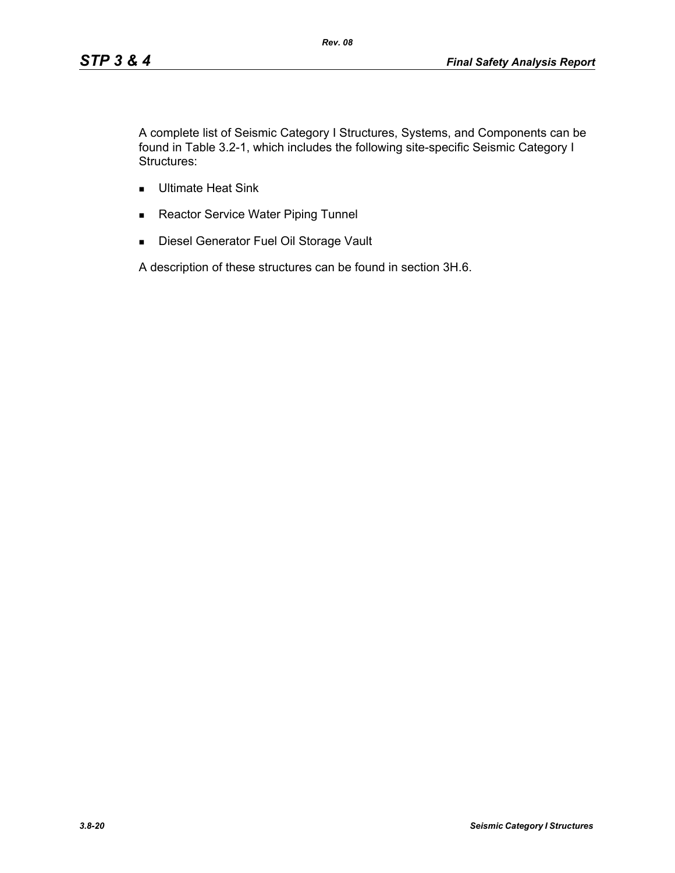A complete list of Seismic Category I Structures, Systems, and Components can be found in Table 3.2-1, which includes the following site-specific Seismic Category I Structures:

*Rev. 08*

- **Ultimate Heat Sink**
- Reactor Service Water Piping Tunnel
- **Diesel Generator Fuel Oil Storage Vault**

A description of these structures can be found in section 3H.6.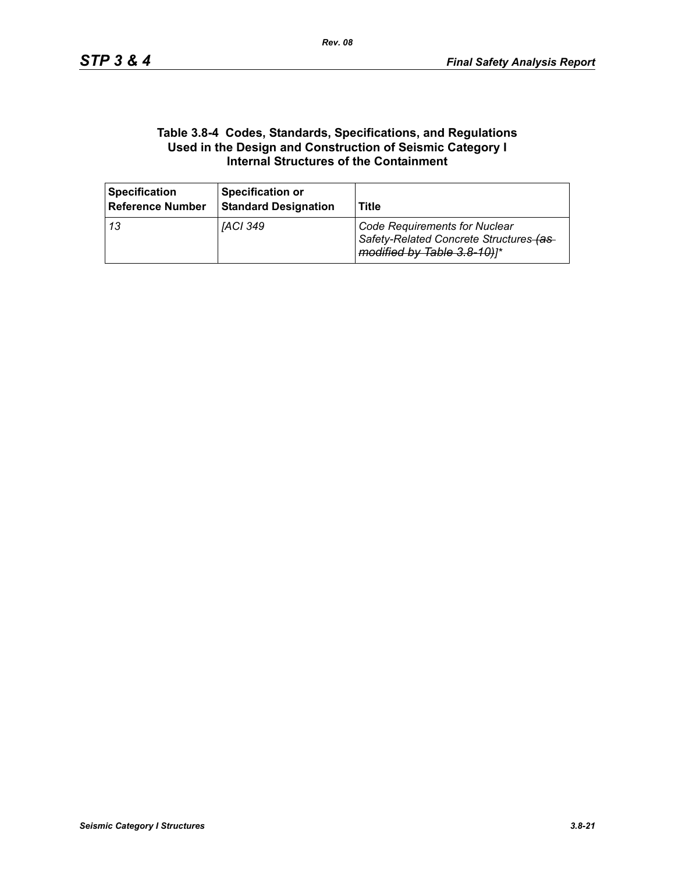#### **Table 3.8-4 Codes, Standards, Specifications, and Regulations Used in the Design and Construction of Seismic Category I Internal Structures of the Containment**

| <b>Specification</b><br><b>Reference Number</b> | <b>Specification or</b><br><b>Standard Designation</b> | Title                                                                                                          |
|-------------------------------------------------|--------------------------------------------------------|----------------------------------------------------------------------------------------------------------------|
| l 13                                            | <i><b>IACI 349</b></i>                                 | <b>Code Requirements for Nuclear</b><br>Safety-Related Concrete Structures-(as-<br>modified by Table 3.8-10)]* |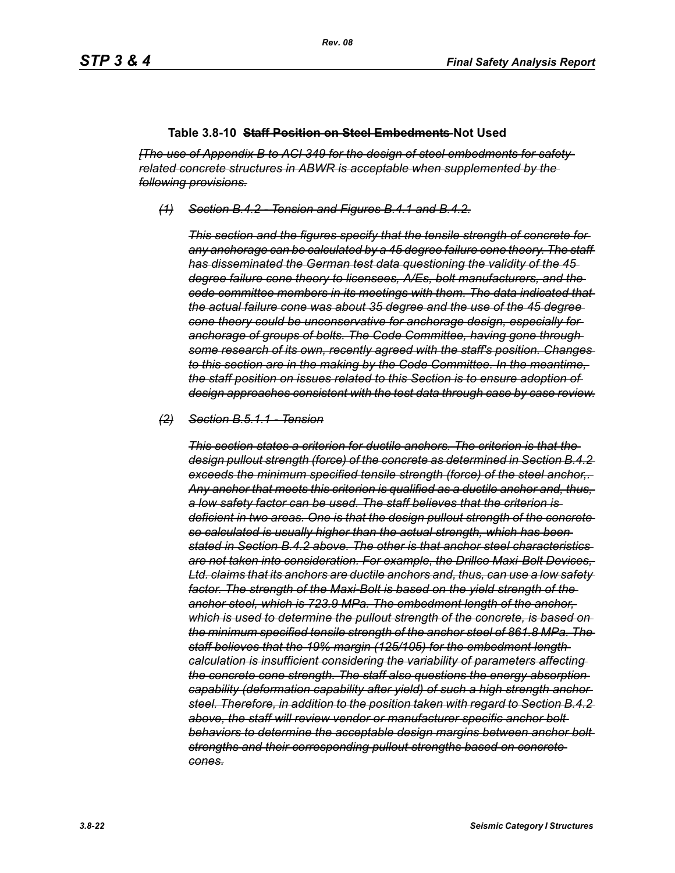#### **Table 3.8-10 Staff Position on Steel Embedments Not Used**

*[The use of Appendix B to ACI 349 for the design of steel embedments for safetyrelated concrete structures in ABWR is acceptable when supplemented by the following provisions.*

*(1) Section B.4.2 - Tension and Figures B.4.1 and B.4.2.*

*This section and the figures specify that the tensile strength of concrete for any anchorage can be calculated by a 45 degree failure cone theory. The staff has disseminated the German test data questioning the validity of the 45 degree failure cone theory to licensees, A/Es, bolt manufacturers, and the code committee members in its meetings with them. The data indicated that the actual failure cone was about 35 degree and the use of the 45 degree cone theory could be unconservative for anchorage design, especially for anchorage of groups of bolts. The Code Committee, having gone through some research of its own, recently agreed with the staff's position. Changes to this section are in the making by the Code Committee. In the meantime, the staff position on issues related to this Section is to ensure adoption of design approaches consistent with the test data through case by case review.*

#### *(2) Section B.5.1.1 - Tension*

*This section states a criterion for ductile anchors. The criterion is that the design pullout strength (force) of the concrete as determined in Section B.4.2 exceeds the minimum specified tensile strength (force) of the steel anchor,. Any anchor that meets this criterion is qualified as a ductile anchor and, thus, a low safety factor can be used. The staff believes that the criterion is deficient in two areas. One is that the design pullout strength of the concrete so calculated is usually higher than the actual strength, which has been stated in Section B.4.2 above. The other is that anchor steel characteristics are not taken into consideration. For example, the Drillco Maxi-Bolt Devices, Ltd. claims that its anchors are ductile anchors and, thus, can use a low safety factor. The strength of the Maxi-Bolt is based on the yield strength of the anchor steel, which is 723.9 MPa. The embedment length of the anchor, which is used to determine the pullout strength of the concrete, is based on the minimum specified tensile strength of the anchor steel of 861.8 MPa. The staff believes that the 19% margin (125/105) for the embedment length calculation is insufficient considering the variability of parameters affecting the concrete cone strength. The staff also questions the energy absorption capability (deformation capability after yield) of such a high strength anchor steel. Therefore, in addition to the position taken with regard to Section B.4.2 above, the staff will review vendor or manufacturer specific anchor bolt behaviors to determine the acceptable design margins between anchor bolt strengths and their corresponding pullout strengths based on concrete cones.*